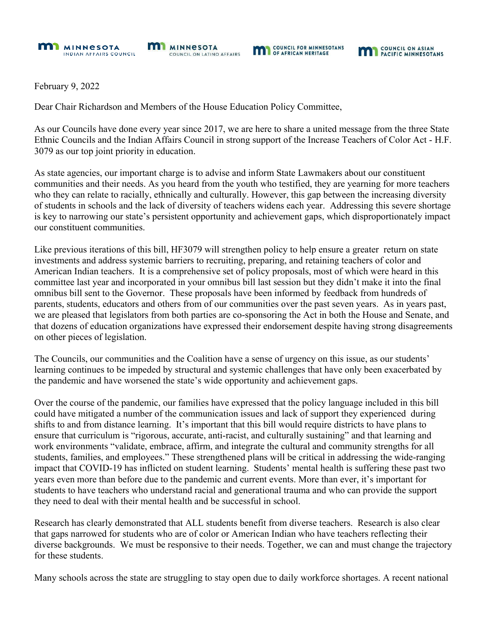

**COUNCIL ON ASIAN** 

February 9, 2022

Dear Chair Richardson and Members of the House Education Policy Committee,

As our Councils have done every year since 2017, we are here to share a united message from the three State Ethnic Councils and the Indian Affairs Council in strong support of the Increase Teachers of Color Act - H.F. 3079 as our top joint priority in education.

As state agencies, our important charge is to advise and inform State Lawmakers about our constituent communities and their needs. As you heard from the youth who testified, they are yearning for more teachers who they can relate to racially, ethnically and culturally. However, this gap between the increasing diversity of students in schools and the lack of diversity of teachers widens each year. Addressing this severe shortage is key to narrowing our state's persistent opportunity and achievement gaps, which disproportionately impact our constituent communities.

Like previous iterations of this bill, HF3079 will strengthen policy to help ensure a greater return on state investments and address systemic barriers to recruiting, preparing, and retaining teachers of color and American Indian teachers. It is a comprehensive set of policy proposals, most of which were heard in this committee last year and incorporated in your omnibus bill last session but they didn't make it into the final omnibus bill sent to the Governor. These proposals have been informed by feedback from hundreds of parents, students, educators and others from of our communities over the past seven years. As in years past, we are pleased that legislators from both parties are co-sponsoring the Act in both the House and Senate, and that dozens of education organizations have expressed their endorsement despite having strong disagreements on other pieces of legislation.

The Councils, our communities and the Coalition have a sense of urgency on this issue, as our students' learning continues to be impeded by structural and systemic challenges that have only been exacerbated by the pandemic and have worsened the state's wide opportunity and achievement gaps.

Over the course of the pandemic, our families have expressed that the policy language included in this bill could have mitigated a number of the communication issues and lack of support they experienced during shifts to and from distance learning. It's important that this bill would require districts to have plans to ensure that curriculum is "rigorous, accurate, anti-racist, and culturally sustaining" and that learning and work environments "validate, embrace, affirm, and integrate the cultural and community strengths for all students, families, and employees." These strengthened plans will be critical in addressing the wide-ranging impact that COVID-19 has inflicted on student learning. Students' mental health is suffering these past two years even more than before due to the pandemic and current events. More than ever, it's important for students to have teachers who understand racial and generational trauma and who can provide the support they need to deal with their mental health and be successful in school.

Research has clearly demonstrated that ALL students benefit from diverse teachers. Research is also clear that gaps narrowed for students who are of color or American Indian who have teachers reflecting their diverse backgrounds. We must be responsive to their needs. Together, we can and must change the trajectory for these students.

Many schools across the state are struggling to stay open due to daily workforce shortages. A recent national